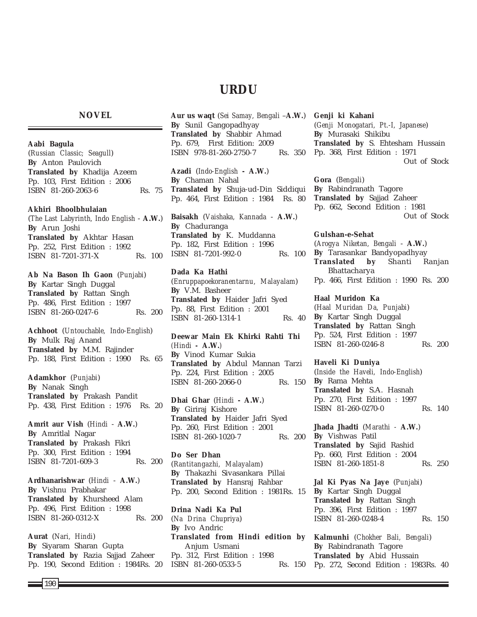# **URDU**

### **NOVEL**

**Aabi Bagula** (*Russian Classic; Seagull*) **By** Anton Paulovich **Translated by** Khadija Azeem Pp. 103, First Edition : 2006 ISBN 81-260-2063-6 Rs. 75

#### **Akhiri Bhoolbhulaian**

(*The Last Labyrinth, Indo English* - **A.W.**) **By** Arun Joshi **Translated by** Akhtar Hasan Pp. 252, First Edition : 1992 ISBN 81-7201-371-X Rs. 100

**Ab Na Bason Ih Gaon** (*Punjabi*) **By** Kartar Singh Duggal **Translated by** Rattan Singh Pp. 486, First Edition : 1997 ISBN 81-260-0247-6 Rs. 200

**Achhoot** (*Untouchable, Indo-English*) **By** Mulk Raj Anand **Translated by** M.M. Rajinder Pp. 188, First Edition : 1990 Rs. 65

**Adamkhor** (*Punjabi*) **By** Nanak Singh **Translated by** Prakash Pandit Pp. 438, First Edition : 1976 Rs. 20

**Amrit aur Vish** (*Hindi* - **A.W.**) **By** Amritlal Nagar **Translated by** Prakash Fikri Pp. 300, First Edition : 1994 ISBN 81-7201-609-3 Rs. 200

**Ardhanarishwar** (*Hindi* - **A.W.**) **By** Vishnu Prabhakar **Translated by** Khursheed Alam Pp. 496, First Edition : 1998 ISBN 81-260-0312-X Rs. 200

**Aurat** (*Nari, Hindi*) **By** Siyaram Sharan Gupta **Translated by** Razia Sajjad Zaheer Pp. 190, Second Edition : 1984Rs. 20 **Aur us waqt** (*Sei Samay, Bengali* –**A.W.**) **By** Sunil Gangopadhyay **Translated by** Shabbir Ahmad Pp. 679, First Edition: 2009 ISBN 978-81-260-2750-7 Rs. 350

**Azadi** (*Indo-English* **- A.W.**) **By** Chaman Nahal **Translated by** Shuja-ud-Din Siddiqui Pp. 464, First Edition : 1984 Rs. 80

**Baisakh** (*Vaishaka, Kannada* - **A.W.**) **By** Chaduranga **Translated by** K. Muddanna Pp. 182, First Edition : 1996 ISBN 81-7201-992-0 Rs. 100

#### **Dada Ka Hathi**

(*Enruppapoekoranentarnu, Malayalam*) **By** V.M. Basheer **Translated by** Haider Jafri Syed Pp. 88, First Edition : 2001 ISBN 81-260-1314-1 Rs. 40

**Deewar Main Ek Khirki Rahti Thi** *(Hindi -* **A.W.***)* **By** Vinod Kumar Sukia **Translated by** Abdul Mannan Tarzi Pp. 224, First Edition : 2005 ISBN 81-260-2066-0 Rs. 150

**Dhai Ghar** (*Hindi* **- A.W.**) **By** Giriraj Kishore **Translated by** Haider Jafri Syed Pp. 260, First Edition : 2001 ISBN 81-260-1020-7 Rs. 200

**Do Ser Dhan** (*Rantitangazhi, Malayalam*) **By** Thakazhi Sivasankara Pillai **Translated by** Hansraj Rahbar Pp. 200, Second Edition : 1981Rs. 15

**Drina Nadi Ka Pul** (*Na Drina Chupriya*) **By** Ivo Andric **Translated from Hindi edition by** Anjum Usmani Pp. 312, First Edition : 1998 ISBN 81-260-0533-5 Rs. 150

**Genji ki Kahani** (*Genji Monogatari, Pt.-I, Japanese*) **By** Murasaki Shikibu **Translated by** S. Ehtesham Hussain Pp. 368, First Edition : 1971 Out of Stock

**Gora** (*Bengali*) **By** Rabindranath Tagore **Translated by** Sajjad Zaheer Pp. 662, Second Edition : 1981 Out of Stock

**Gulshan-e-Sehat** (*Arogya Niketan, Bengali* - **A.W.**) **By** Tarasankar Bandyopadhyay **Translated by** Shanti Ranjan Bhattacharya Pp. 466, First Edition : 1990 Rs. 200

**Haal Muridon Ka** (*Haal Muridan Da, Punjabi*) **By** Kartar Singh Duggal **Translated by** Rattan Singh Pp. 524, First Edition : 1997 ISBN 81-260-0246-8 Rs. 200

**Haveli Ki Duniya** (*Inside the Haveli, Indo-English*) **By** Rama Mehta **Translated by** S.A. Hasnah Pp. 270, First Edition : 1997 ISBN 81-260-0270-0 Rs. 140

**Jhada Jhadti** (*Marathi -* **A.W.**) **By** Vishwas Patil **Translated by** Sajid Rashid Pp. 660, First Edition : 2004 ISBN 81-260-1851-8 Rs. 250

**Jal Ki Pyas Na Jaye** (*Punjabi*) **By** Kartar Singh Duggal **Translated by** Rattan Singh Pp. 396, First Edition : 1997 ISBN 81-260-0248-4 Rs. 150

**Kalmunhi** (*Chokher Bali, Bengali*) **By** Rabindranath Tagore **Translated by** Abid Hussain Pp. 272, Second Edition : 1983Rs. 40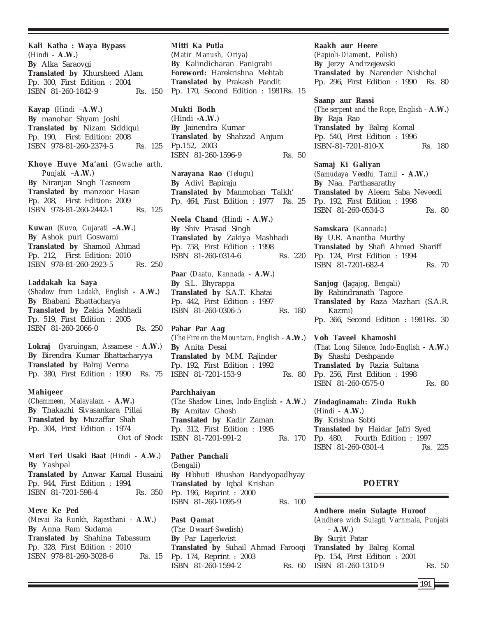**Kali Katha : Waya Bypass** (*Hindi* **- A.W.**) **By** Alka Saraovgi **Translated by** Khursheed Alam Pp. 300, First Edition : 2004 ISBN 81-260-1842-9 Rs. 150

**Kayap** (*Hindi* –**A.W.**) **By** manohar Shyam Joshi **Translated by** Nizam Siddiqui Pp. 190, First Edition: 2008 ISBN 978-81-260-2374-5 Rs. 125

**Khoye Huye Ma'ani** (*Gwache arth, Punjabi* –**A.W.**) **By** Niranjan Singh Tasneem **Translated by** manzoor Hasan Pp. 208, First Edition: 2009 ISBN 978-81-260-2442-1 Rs. 125

**Kuwan** (*Kuvo, Gujarati* –**A.W.**) **By** Ashok puri Goswami **Translated by** Shamoil Ahmad Pp. 212, First Edition: 2010 ISBN 978-81-260-2923-5 Rs. 250

**Laddakah ka Saya** (*Shadow from Ladakh, English* **- A.W.**) **By** Bhabani Bhattacharya **Translated by** Zakia Mashhadi Pp. 519, First Edition : 2005 ISBN 81-260-2066-0 Rs. 250

**Lokraj** (*Iyaruingam, Assamese* - **A.W.**) **By** Birendra Kumar Bhattacharyya **Translated by** Balraj Verma Pp. 380, First Edition : 1990 Rs. 75

#### **Mahigeer**

(*Chemmeen, Malayalam* - **A.W.**) **By** Thakazhi Sivasankara Pillai **Translated by** Muzaffar Shah Pp. 304, First Edition : 1974 Out of Stock

**Meri Teri Usaki Baat** (*Hindi* **- A.W.**) **By** Yashpal **Translated by** Anwar Kamal Husaini Pp. 944, First Edition : 1994 ISBN 81-7201-598-4 Rs. 350

**Meve Ke Ped** (*Mevai Ra Runkh, Rajasthani* - **A.W.**) **By** Anna Ram Sudama **Translated by** Shahina Tabassum Pp. 328, First Edition : 2010 ISBN 978-81-260-3028-6 Rs. 15

**Mitti Ka Putla** (*Matir Manush, Oriya*) **By** Kalindicharan Panigrahi **Foreword:** Harekrishna Mehtab **Translated by** Prakash Pandit Pp. 170, Second Edition : 1981Rs. 15

**Mukti Bodh** (Hindi **-A.W.**) **By** Jainendra Kumar **Translated by** Shahzad Anjum Pp.152, 2003 ISBN 81-260-1596-9 Rs. 50

**Narayana Rao** (*Telugu*) **By** Adivi Bapiraju **Translated by** Manmohan 'Talkh' Pp. 464, First Edition : 1977 Rs. 25

**Neela Chand** (*Hindi* **- A.W.**) **By** Shiv Prasad Singh **Translated by** Zakiya Mashhadi Pp. 758, First Edition : 1998 ISBN 81-260-0314-6 Rs. 220

**Paar** (*Daatu, Kannada* - **A.W.**) **By** S.L. Bhyrappa **Translated by** S.A.T. Khatai Pp. 442, First Edition : 1997 ISBN 81-260-0306-5 Rs. 180

**Pahar Par Aag** (*The Fire on the Mountain, English* - **A.W.**) **By** Anita Desai **Translated by** M.M. Rajinder Pp. 192, First Edition : 1992 ISBN 81-7201-153-9 Rs. 80

#### **Parchhaiyan**

(*The Shadow Lines, Indo-English* **- A.W.**) **By** Amitav Ghosh **Translated by** Kadir Zaman Pp. 312, First Edition : 1995 ISBN 81-7201-991-2 Rs. 170

**Pather Panchali** (*Bengali*) **By** Bibhuti Bhushan Bandyopadhyay **Translated by** Iqbal Krishan Pp. 196, Reprint : 2000 ISBN 81-260-1095-9 Rs. 100

**Past Qamat** (*The Dwaarf-Swedish*) **By** Par Lagerkvist **Translated by** Suhail Ahmad Farooqi Pp. 174, Reprint : 2003 ISBN 81-260-1594-2 Rs. 60

**Raakh aur Heere**

(*Papioli-Diament, Polish*) **By** Jerzy Andrzejewski **Translated by** Narender Nishchal Pp. 296, First Edition : 1990 Rs. 80

**Saanp aur Rassi** (*The serpent and the Rope, English* - **A.W.**) **By** Raja Rao **Translated by** Balraj Komal Pp. 540, First Edition : 1996 ISBN-81-7201-810-X Rs. 180

**Samaj Ki Galiyan** (*Samudaya Veedhi, Tamil* **- A.W.**) **By** Naa. Parthasarathy **Translated by** Aleem Saba Neveedi Pp. 192, First Edition : 1998 ISBN 81-260-0534-3 Rs. 80

**Samskara** (*Kannada*) **By** U.R. Anantha Murthy **Translated by** Shafi Ahmed Shariff Pp. 124, First Edition : 1994 ISBN 81-7201-682-4 Rs. 70

**Sanjog** (*Jagajog, Bengali*) **By** Rabindranath Tagore **Translated by** Raza Mazhari (S.A.R. Kazmi) Pp. 366, Second Edition : 1981Rs. 30

**Voh Taveel Khamoshi** (*That Long Silence, Indo-English* **- A.W.**) **By** Shashi Deshpande **Translated by** Razia Sultana Pp. 256, First Edition : 1998 ISBN 81-260-0575-0 Rs. 80

**Zindaginamah: Zinda Rukh** (*Hindi* - **A.W.**) **By** Krishna Sobti **Translated by** Haidar Jafri Syed Pp. 480, Fourth Edition : 1997 ISBN 81-260-0301-4 Rs. 225

### **POETRY**

**Andhere mein Sulagte Huroof** (*Andhere wich Sulagti Varnmala, Punjabi* - **A.W.**) **By** Surjit Patar **Translated by** Balraj Komal Pp. 154, First Edition : 2001 ISBN 81-260-1310-9 Rs. 50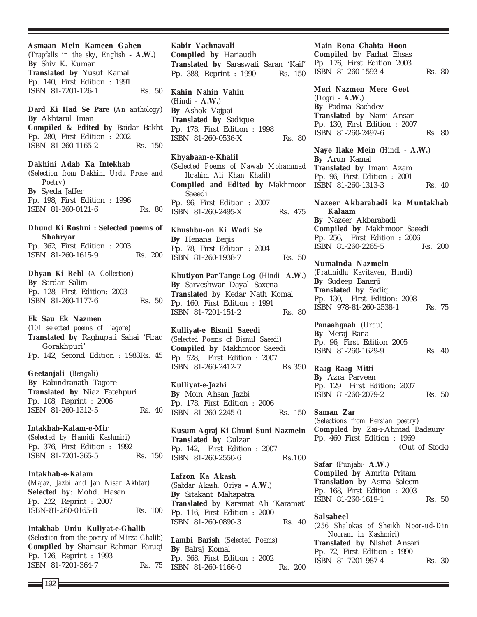**Asmaan Mein Kameen Gahen** (*Trapfalls in the sky, English* **- A.W.**) **By** Shiv K. Kumar **Translated by** Yusuf Kamal Pp. 140, First Edition : 1991 ISBN 81-7201-126-1 Rs. 50 **Dard Ki Had Se Pare** (*An anthology*) **By** Akhtarul Iman **Compiled & Edited by** Baidar Bakht Pp. 280, First Edition : 2002 ISBN 81-260-1165-2 Rs. 150 **Dakhini Adab Ka Intekhab** (*Selection from Dakhini Urdu Prose and Poetry*) **By** Syeda Jaffer Pp. 198, First Edition : 1996 ISBN 81-260-0121-6 Rs. 80 **Dhund Ki Roshni : Selected poems of Shahryar** Pp. 362, First Edition : 2003 ISBN 81-260-1615-9 Rs. 200 **Dhyan Ki Rehl** (*A Collection*) **By** Sardar Salim Pp. 128, First Edition: 2003 ISBN 81-260-1177-6 Rs. 50 **Ek Sau Ek Nazmen** (*101 selected poems of Tagore*) **Translated by** Raghupati Sahai 'Firaq Gorakhpuri' Pp. 142, Second Edition : 1983Rs. 45 **Geetanjali** (*Bengali*) **By** Rabindranath Tagore **Translated by** Niaz Fatehpuri Pp. 108, Reprint : 2006 ISBN 81-260-1312-5 Rs. 40 **Intakhab-Kalam-e-Mir** (*Selected by Hamidi Kashmiri*) Pp. 376, First Edition : 1992 ISBN 81-7201-365-5 Rs. 150 **Intakhab-e-Kalam** (*Majaz, Jazbi and Jan Nisar Akhtar*) **Selected by**: Mohd. Hasan Pp. 232, Reprint : 2007 ISBN-81-260-0165-8 Rs. 100

**Intakhab Urdu Kuliyat-e-Ghalib** (*Selection from the poetry of Mirza Ghalib*) **Compiled by** Shamsur Rahman Faruqi Pp. 126, Reprint : 1993 ISBN 81-7201-364-7 Rs. 75

**Kabir Vachnavali Compiled by** Hariaudh **Translated by** Saraswati Saran 'Kaif' Pp. 388, Reprint : 1990 Rs. 150 **Kahin Nahin Vahin** (*Hindi* - **A.W.**) **By** Ashok Vajpai

**Translated by** Sadique Pp. 178, First Edition : 1998 ISBN 81-260-0536-X Rs. 80

**Khyabaan-e-Khalil** (*Selected Poems of Nawab Mohammad Ibrahim Ali Khan Khalil*) **Compiled and Edited by** Makhmoor Saeedi Pp. 96, First Edition : 2007 ISBN 81-260-2495-X Rs. 475

**Khushbu-on Ki Wadi Se By** Henana Berjis Pp. 78, First Edition : 2004 ISBN 81-260-1938-7 Rs. 50

**Khutiyon Par Tange Log** (*Hindi* - **A.W.**) **By** Sarveshwar Dayal Saxena **Translated by** Kedar Nath Komal Pp. 160, First Edition : 1991 ISBN 81-7201-151-2 Rs. 80

**Kulliyat-e Bismil Saeedi** (*Selected Poems of Bismil Saeedi*) **Compiled by** Makhmoor Saeedi Pp. 528, First Edition : 2007 ISBN 81-260-2412-7 Rs.350

**Kulliyat-e-Jazbi By** Moin Ahsan Jazbi Pp. 178, First Edition : 2006 ISBN 81-260-2245-0 Rs. 150

**Kusum Agraj Ki Chuni Suni Nazmein Translated by** Gulzar Pp. 142, First Edition : 2007 ISBN 81-260-2550-6 Rs.100

**Lafzon Ka Akash** (*Sabdar Akash, Oriya* **- A.W.**) **By** Sitakant Mahapatra **Translated by** Karamat Ali 'Karamat' Pp. 116, First Edition : 2000 ISBN 81-260-0890-3 Rs. 40

**Lambi Barish** (*Selected Poems*) **By** Balraj Komal Pp. 368, First Edition : 2002 ISBN 81-260-1166-0 Rs. 200 **Main Rona Chahta Hoon Compiled by** Farhat Ehsas Pp. 176, First Edition 2003 ISBN 81-260-1593-4 Rs. 80

**Meri Nazmen Mere Geet** (*Dogri* - **A.W.**) **By** Padma Sachdev **Translated by** Nami Ansari Pp. 130, First Edition : 2007 ISBN 81-260-2497-6 Rs. 80

**Naye Ilake Mein** (*Hindi* - **A.W.**) **By** Arun Kamal **Translated by** Imam Azam Pp. 96, First Edition : 2001 ISBN 81-260-1313-3 Rs. 40

**Nazeer Akbarabadi ka Muntakhab Kalaam By** Nazeer Akbarabadi **Compiled by** Makhmoor Saeedi Pp. 256, First Edition : 2006 ISBN 81-260-2265-5 Rs. 200

**Numainda Nazmein** (*Pratinidhi Kavitayen, Hindi*) **By** Sudeep Banerji **Translated by** Sadiq Pp. 130, First Edition: 2008 ISBN 978-81-260-2538-1 Rs. 75

**Panaahgaah** *(Urdu)* **By** Meraj Rana Pp. 96, First Edition 2005 ISBN 81-260-1629-9 Rs. 40

**Raag Raag Mitti By** Azra Parveen Pp. 129 First Edition: 2007 ISBN 81-260-2079-2 Rs. 50

**Saman Zar** (*Selections from Persian poetry*) **Compiled by** Zai-i-Ahmad Badauny Pp. 460 First Edition : 1969 (Out of Stock)

**Safar** (*Punjabi-* **A.W.**) **Compiled by** Amrita Pritam **Translation by** Asma Saleem Pp. 168, First Edition : 2003 ISBN 81-260-1619-1 Rs. 50

**Salsabeel** (*256 Shalokas of Sheikh Noor-ud-Din Noorani in Kashmiri*) **Translated by** Nishat Ansari Pp. 72, First Edition : 1990 ISBN 81-7201-987-4 Rs. 30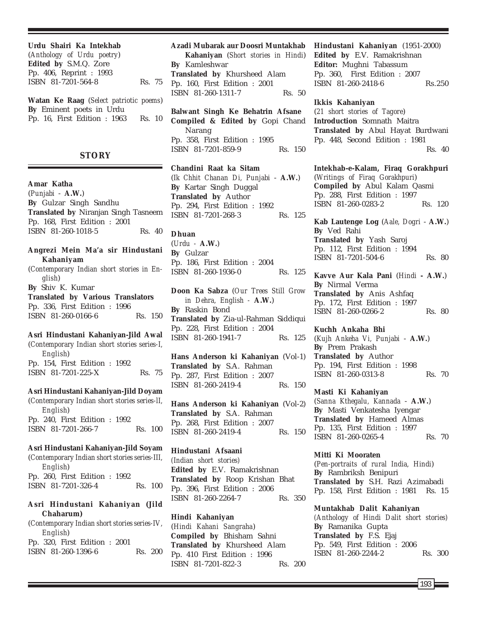**Urdu Shairi Ka Intekhab** (*Anthology of Urdu poetry*) **Edited by** S.M.Q. Zore Pp. 406, Reprint : 1993 ISBN 81-7201-564-8 Rs. 75

**Watan Ke Raag** (*Select patriotic poems*) **By** Eminent poets in Urdu Pp. 16, First Edition : 1963 Rs. 10

### **STORY**

**Amar Katha** (*Punjabi* - **A.W.**) **By** Gulzar Singh Sandhu **Translated by** Niranjan Singh Tasneem Pp. 168, First Edition : 2001 ISBN 81-260-1018-5 Rs. 40

**Angrezi Mein Ma'a sir Hindustani Kahaniyam**

(*Contemporary Indian short stories in English*) **By** Shiv K. Kumar **Translated by Various Translators** Pp. 336, First Edition : 1996 ISBN 81-260-0166-6 Rs. 150

**Asri Hindustani Kahaniyan-Jild Awal** (*Contemporary Indian short stories series-I, English*) Pp. 154, First Edition : 1992 ISBN 81-7201-225-X Rs. 75

**Asri Hindustani Kahaniyan-Jild Doyam**

(*Contemporary Indian short stories series-lI, English*) Pp. 240, First Edition : 1992 ISBN 81-7201-266-7 Rs. 100

**Asri Hindustani Kahaniyan-Jild Soyam** (*Contemporary Indian short stories series-III, English*) Pp. 260, First Edition : 1992 ISBN 81-7201-326-4 Rs. 100

# **Asri Hindustani Kahaniyan (Jild Chaharum)**

(*Contemporary Indian short stories series-IV, English*) Pp. 320, First Edition : 2001 ISBN 81-260-1396-6 Rs. 200

#### **Azadi Mubarak aur Doosri Muntakhab**

**Kahaniyan** (*Short stories in Hindi*) **By** Kamleshwar **Translated by** Khursheed Alam Pp. 160, First Edition : 2001 ISBN 81-260-1311-7 Rs. 50

**Balwant Singh Ke Behatrin Afsane Compiled & Edited by** Gopi Chand Narang Pp. 358, First Edition : 1995 ISBN 81-7201-859-9 Rs. 150

**Chandini Raat ka Sitam** (*Ik Chhit Chanan Di, Punjabi* - **A.W.**) **By** Kartar Singh Duggal **Translated by** Author Pp. 294, First Edition : 1992 ISBN 81-7201-268-3 Rs. 125

**Dhuan** (*Urdu -* **A.W.**) **By** Gulzar Pp. 186, First Edition : 2004 ISBN 81-260-1936-0 Rs. 125

**Doon Ka Sabza** (*Our Trees Still Grow in Dehra, English -* **A.W.**) **By** Raskin Bond **Translated by** Zia-ul-Rahman Siddiqui Pp. 228, First Edition : 2004 ISBN 81-260-1941-7 Rs. 125

**Hans Anderson ki Kahaniyan** (Vol-1) **Translated by** S.A. Rahman Pp. 287, First Edition : 2007 ISBN 81-260-2419-4 Rs. 150

**Hans Anderson ki Kahaniyan** (Vol-2) **Translated by** S.A. Rahman Pp. 268, First Edition : 2007 ISBN 81-260-2419-4 Rs. 150

# **Hindustani Afsaani**

*(Indian short stories)* **Edited by** E.V. Ramakrishnan **Translated by** Roop Krishan Bhat Pp. 396, First Edition : 2006 ISBN 81-260-2264-7 Rs. 350

**Hindi Kahaniyan** (*Hindi Kahani Sangraha*) **Compiled by** Bhisham Sahni **Translated by** Khursheed Alam Pp. 410 First Edition : 1996 ISBN 81-7201-822-3 Rs. 200 **Hindustani Kahaniyan** (1951-2000) **Edited by** E.V. Ramakrishnan **Editor:** Mughni Tabassum Pp. 360, First Edition : 2007 ISBN 81-260-2418-6 Rs.250

**Ikkis Kahaniyan**

(*21 short stories of Tagore*) **Introduction** Somnath Maitra **Translated by** Abul Hayat Burdwani Pp. 448, Second Edition : 1981 Rs. 40

**Intekhab-e-Kalam, Firaq Gorakhpuri** (*Writings of Firaq Gorakhpuri*) **Compiled by** Abul Kalam Qasmi Pp. 288, First Edition : 1997 ISBN 81-260-0283-2 Rs. 120

**Kab Lautenge Log** (*Aale, Dogri* - **A.W.**) **By** Ved Rahi **Translated by** Yash Saroj Pp. 112, First Edition : 1994 ISBN 81-7201-504-6 Rs. 80

**Kavve Aur Kala Pani** (*Hindi* **- A.W.**) **By** Nirmal Verma **Translated by** Anis Ashfaq Pp. 172, First Edition : 1997 ISBN 81-260-0266-2 Rs. 80

**Kuchh Ankaha Bhi** (*Kujh Ankeha Vi, Punjabi* - **A.W.**) **By** Prem Prakash **Translated by** Author Pp. 194, First Edition : 1998 ISBN 81-260-0313-8 Rs. 70

#### **Masti Ki Kahaniyan**

(*Sanna Kthegalu, Kannada* - **A.W.**) **By** Masti Venkatesha Iyengar **Translated by** Hameed Almas Pp. 135, First Edition : 1997 ISBN 81-260-0265-4 Rs. 70

#### **Mitti Ki Mooraten**

(*Pen-portraits of rural India, Hindi*) **By** Rambriksh Benipuri **Translated by** S.H. Razi Azimabadi Pp. 158, First Edition : 1981 Rs. 15

# **Muntakhab Dalit Kahaniyan**

*(Anthology of Hindi Dalit short stories)* **By** Ramanika Gupta **Translated by** F.S. Ejaj Pp. 549, First Edition : 2006 ISBN 81-260-2244-2 Rs. 300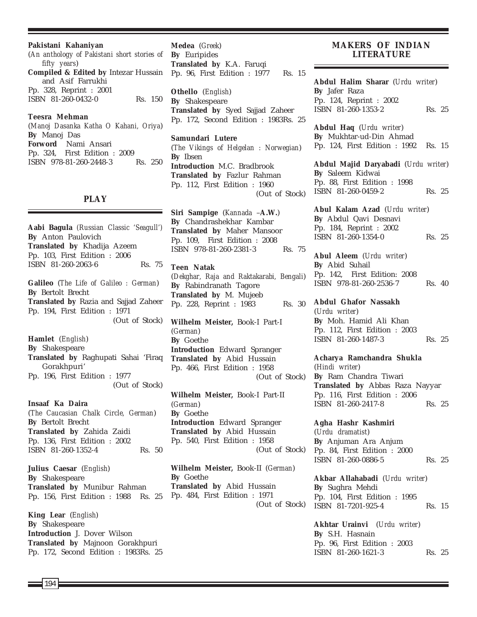#### **Pakistani Kahaniyan**

(*An anthology of Pakistani short stories of fifty years*) **Compiled & Edited by** Intezar Hussain and Asif Farrukhi Pp. 328, Reprint : 2001 ISBN 81-260-0432-0 Rs. 150

**Teesra Mehman**

(*Manoj Dasanka Katha O Kahani, Oriya*) **By** Manoj Das **Forword** Nami Ansari Pp. 324, First Edition : 2009 ISBN 978-81-260-2448-3 Rs. 250

#### **PLAY**

**Aabi Bagula** *(Russian Classic 'Seagull')* **By** Anton Paulovich **Translated by** Khadija Azeem Pp. 103, First Edition : 2006 ISBN 81-260-2063-6 Rs. 75 **Galileo** (*The Life of Galileo : German*) **By** Bertolt Brecht **Translated by** Razia and Sajjad Zaheer Pp. 194, First Edition : 1971 (Out of Stock) **Hamlet** (*English*) **By** Shakespeare **Translated by** Raghupati Sahai 'Firaq Gorakhpuri' Pp. 196, First Edition : 1977 (Out of Stock) **Insaaf Ka Daira** (*The Caucasian Chalk Circle, German*) **By** Bertolt Brecht **Translated by** Zahida Zaidi Pp. 136, First Edition : 2002 ISBN 81-260-1352-4 Rs. 50 **Julius Caesar** (*English*) **By** Shakespeare **Translated by** Munibur Rahman

**King Lear** (*English*) **By** Shakespeare **Introduction** J. Dover Wilson **Translated by** Majnoon Gorakhpuri Pp. 172, Second Edition : 1983Rs. 25

Pp. 156, First Edition : 1988 Rs. 25

**Medea** (*Greek*) **By** Euripides **Translated by** K.A. Faruqi Pp. 96, First Edition : 1977 Rs. 15

**Othello** (*English*) **By** Shakespeare **Translated by** Syed Sajjad Zaheer Pp. 172, Second Edition : 1983Rs. 25

**Samundari Lutere** (*The Vikings of Helgelan : Norwegian*) **By** Ibsen **Introduction** M.C. Bradbrook **Translated by** Fazlur Rahman Pp. 112, First Edition : 1960 (Out of Stock)

**Siri Sampige** (*Kannada* –**A.W.**) **By** Chandrashekhar Kambar **Translated by** Maher Mansoor Pp. 109, First Edition : 2008 ISBN 978-81-260-2381-3 Rs. 75

**Teen Natak** (*Dekghar, Raja and Raktakarabi, Bengali*) **By** Rabindranath Tagore **Translated by** M. Mujeeb Pp. 228, Reprint : 1983 Rs. 30

**Wilhelm Meister,** Book-I Part-I (*German*) **By** Goethe **Introduction** Edward Spranger **Translated by** Abid Hussain Pp. 466, First Edition : 1958 (Out of Stock)

**Wilhelm Meister,** Book-I Part-II (*German*) **By** Goethe **Introduction** Edward Spranger **Translated by** Abid Hussain Pp. 540, First Edition : 1958 (Out of Stock)

**Wilhelm Meister,** Book-II (*German*) **By** Goethe **Translated by** Abid Hussain Pp. 484, First Edition : 1971 (Out of Stock)

### **MAKERS OF INDIAN LITERATURE**

**Abdul Halim Sharar** (*Urdu writer*) **By** Jafer Raza Pp. 124, Reprint : 2002 ISBN 81-260-1353-2 Rs. 25

**Abdul Haq** (*Urdu writer*) **By** Mukhtar-ud-Din Ahmad Pp. 124, First Edition : 1992 Rs. 15

**Abdul Majid Daryabadi** (*Urdu writer*) **By** Saleem Kidwai Pp. 88, First Edition : 1998 ISBN 81-260-0459-2 Rs. 25

**Abul Kalam Azad** (*Urdu writer*) **By** Abdul Qavi Desnavi Pp. 184, Reprint : 2002 ISBN 81-260-1354-0 Rs. 25

**Abul Aleem** (*Urdu writer*) **By** Abid Suhail Pp. 142, First Edition: 2008 ISBN 978-81-260-2536-7 Rs. 40

**Abdul Ghafor Nassakh** (*Urdu writer*) **By** Moh. Hamid Ali Khan Pp. 112, First Edition : 2003 ISBN 81-260-1487-3 Rs. 25

**Acharya Ramchandra Shukla** (*Hindi writer*) **By** Ram Chandra Tiwari **Translated by** Abbas Raza Nayyar Pp. 116, First Edition : 2006 ISBN 81-260-2417-8 Rs. 25

**Agha Hashr Kashmiri** (*Urdu dramatist*) **By** Anjuman Ara Anjum Pp. 84, First Edition : 2000 ISBN 81-260-0886-5 Rs. 25

**Akbar Allahabadi** (*Urdu writer*) **By** Sughra Mehdi Pp. 104, First Edition : 1995 ISBN 81-7201-925-4 Rs. 15

**Akhtar Urainvi** (*Urdu writer*) **By** S.H. Hasnain Pp. 96, First Edition : 2003 ISBN 81-260-1621-3 Rs. 25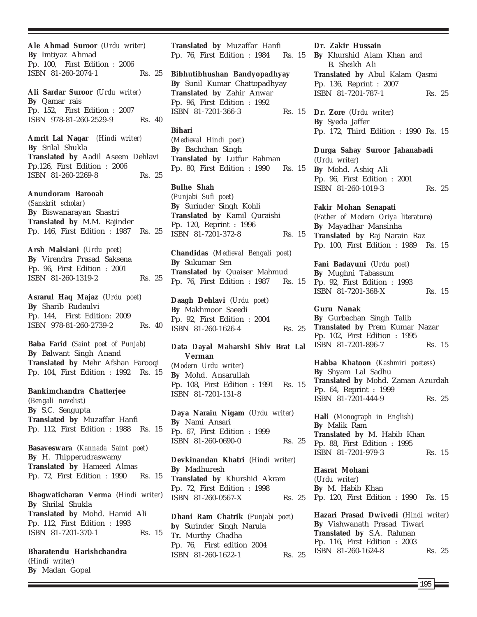**Ale Ahmad Suroor** (*Urdu writer*) **By** Imtiyaz Ahmad Pp. 100, First Edition : 2006 ISBN 81-260-2074-1 Rs. 25

**Ali Sardar Suroor** (*Urdu writer*) **By** Qamar rais Pp. 152, First Edition : 2007 ISBN 978-81-260-2529-9 Rs. 40

**Amrit Lal Nagar** *(Hindi writer)* **By** Srilal Shukla **Translated by** Aadil Aseem Dehlavi Pp.126, First Edition : 2006 ISBN 81-260-2269-8 Rs. 25

**Anundoram Barooah** (*Sanskrit scholar*) **By** Biswanarayan Shastri **Translated by** M.M. Rajinder Pp. 146, First Edition : 1987 Rs. 25

**Arsh Malsiani** (*Urdu poet*) **By** Virendra Prasad Saksena Pp. 96, First Edition : 2001 ISBN 81-260-1319-2 Rs. 25

**Asrarul Haq Majaz** (*Urdu poet*) **By** Sharib Rudaulvi Pp. 144, First Edition: 2009 ISBN 978-81-260-2739-2 Rs. 40

**Baba Farid** (*Saint poet of Punjab*) **By** Balwant Singh Anand **Translated by** Mehr Afshan Farooqi Pp. 104, First Edition : 1992 Rs. 15

**Bankimchandra Chatterjee** (*Bengali novelist*) **By** S.C. Sengupta **Translated by** Muzaffar Hanfi Pp. 112, First Edition : 1988 Rs. 15 **Basaveswara** (*Kannada Saint poet*)

**By** H. Thipperudraswamy **Translated by** Hameed Almas Pp. 72, First Edition : 1990 Rs. 15

**Bhagwaticharan Verma** (*Hindi writer*) **By** Shrilal Shukla **Translated by** Mohd. Hamid Ali Pp. 112, First Edition : 1993 ISBN 81-7201-370-1 Rs. 15

**Bharatendu Harishchandra** (*Hindi writer*) **By** Madan Gopal

**Translated by** Muzaffar Hanfi Pp. 76, First Edition : 1984 Rs. 15

**Bibhutibhushan Bandyopadhyay By** Sunil Kumar Chattopadhyay **Translated by** Zahir Anwar Pp. 96, First Edition : 1992 ISBN 81-7201-366-3

### **Bihari**

(*Medieval Hindi poet*) **By** Bachchan Singh **Translated by** Lutfur Rahman Pp. 80, First Edition : 1990 Rs. 15

**Bulhe Shah** (*Punjabi Sufi poet*) **By** Surinder Singh Kohli **Translated by** Kamil Quraishi Pp. 120, Reprint : 1996 ISBN 81-7201-372-8 Rs. 15

**Chandidas** (*Medieval Bengali poet*) **By** Sukumar Sen **Translated by** Quaiser Mahmud Pp. 76, First Edition : 1987 Rs. 15

**Daagh Dehlavi** (*Urdu poet*) **By** Makhmoor Saeedi Pp. 92, First Edition : 2004 ISBN 81-260-1626-4 Rs. 25

**Data Dayal Maharshi Shiv Brat Lal Verman** (*Modern Urdu writer*) **By** Mohd. Ansarullah Pp. 108, First Edition : 1991 Rs. 15 ISBN 81-7201-131-8

**Daya Narain Nigam** (*Urdu writer*) **By** Nami Ansari Pp. 67, First Edition : 1999 ISBN 81-260-0690-0 Rs. 25

**Devkinandan Khatri** (*Hindi writer*) **By** Madhuresh **Translated by** Khurshid Akram Pp. 72, First Edition : 1998 ISBN 81-260-0567-X Rs. 25

**Dhani Ram Chatrik** (*Punjabi poet*) **by** Surinder Singh Narula **Tr.** Murthy Chadha Pp. 76, First edition 2004 ISBN 81-260-1622-1 Rs. 25

#### **Dr. Zakir Hussain**

**By** Khurshid Alam Khan and B. Sheikh Ali **Translated by** Abul Kalam Qasmi Pp. 136, Reprint : 2007 ISBN 81-7201-787-1 Rs. 25

**Dr. Zore** (*Urdu writer*) **By** Syeda Jaffer Pp. 172, Third Edition : 1990 Rs. 15

> **Durga Sahay Suroor Jahanabadi** (*Urdu writer*) **By** Mohd. Ashiq Ali Pp. 96, First Edition : 2001 ISBN 81-260-1019-3 Rs. 25

**Fakir Mohan Senapati** (*Father of Modern Oriya literature*) **By** Mayadhar Mansinha **Translated by** Raj Narain Raz Pp. 100, First Edition : 1989 Rs. 15

**Fani Badayuni** (*Urdu poet*) **By** Mughni Tabassum Pp. 92, First Edition : 1993 ISBN 81-7201-368-X Rs. 15

**Guru Nanak By** Gurbachan Singh Talib **Translated by** Prem Kumar Nazar Pp. 102, First Edition : 1995 ISBN 81-7201-896-7 Rs. 15

**Habba Khatoon** (*Kashmiri poetess*) **By** Shyam Lal Sadhu **Translated by** Mohd. Zaman Azurdah Pp. 64, Reprint : 1999 ISBN 81-7201-444-9 Rs. 25

**Hali** (*Monograph in English*) **By** Malik Ram **Translated by** M. Habib Khan Pp. 88, First Edition : 1995 ISBN 81-7201-979-3 Rs. 15

**Hasrat Mohani** (*Urdu writer*) **By** M. Habib Khan Pp. 120, First Edition : 1990 Rs. 15

**Hazari Prasad Dwivedi** (*Hindi writer*) **By** Vishwanath Prasad Tiwari **Translated by** S.A. Rahman Pp. 116, First Edition : 2003 ISBN 81-260-1624-8 Rs. 25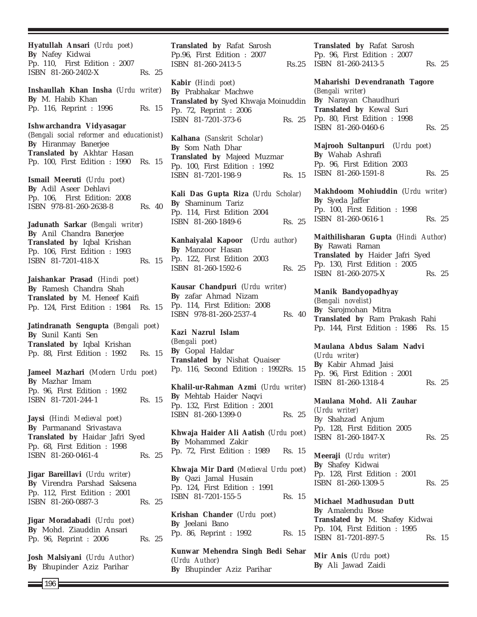**Hyatullah Ansari** (*Urdu poet*) **By** Nafey Kidwai Pp. 110, First Edition : 2007 ISBN 81-260-2402-X Rs. 25 **Inshaullah Khan Insha** (*Urdu writer*) **By** M. Habib Khan Pp. 116, Reprint : 1996 Rs. 15 **Ishwarchandra Vidyasagar** (*Bengali social reformer and educationist*)

**By** Hiranmay Banerjee **Translated by** Akhtar Hasan Pp. 100, First Edition : 1990 Rs. 15

**Ismail Meeruti** (*Urdu poet*) **By** Adil Aseer Dehlavi Pp. 106, First Edition: 2008 ISBN 978-81-260-2638-8 Rs. 40

**Jadunath Sarkar** (*Bengali writer*) **By** Anil Chandra Banerjee **Translated by** Iqbal Krishan Pp. 106, First Edition : 1993 ISBN 81-7201-418-X Rs. 15

**Jaishankar Prasad** (*Hindi poet*) **By** Ramesh Chandra Shah **Translated by** M. Heneef Kaifi Pp. 124, First Edition : 1984 Rs. 15

**Jatindranath Sengupta** (*Bengali poet*) **By** Sunil Kanti Sen **Translated by** Iqbal Krishan Pp. 88, First Edition : 1992 Rs. 15

**Jameel Mazhari** (*Modern Urdu poet*) **By** Mazhar Imam Pp. 96, First Edition : 1992 ISBN 81-7201-244-1 Rs. 15

**Jaysi** (*Hindi Medieval poet*) **By** Parmanand Srivastava **Translated by** Haidar Jafri Syed Pp. 68, First Edition : 1998 ISBN 81-260-0461-4 Rs. 25

**Jigar Bareillavi** (*Urdu writer*) **By** Virendra Parshad Saksena Pp. 112, First Edition : 2001 ISBN 81-260-0887-3 Rs. 25

**Jigar Moradabadi** (*Urdu poet*) **By** Mohd. Ziauddin Ansari Pp. 96, Reprint : 2006 Rs. 25

**Josh Malsiyani** (*Urdu Author*) **By** Bhupinder Aziz Parihar

**Translated by** Rafat Sarosh Pp.96, First Edition : 2007 ISBN 81-260-2413-5

**Kabir** (*Hindi poet*) **By** Prabhakar Machwe **Translated by** Syed Khwaja Moinuddin Pp. 72, Reprint : 2006 ISBN 81-7201-373-6 Rs. 25

**Kalhana** (*Sanskrit Scholar*) **By** Som Nath Dhar **Translated by** Majeed Muzmar Pp. 100, First Edition : 1992 ISBN 81-7201-198-9 Rs. 15

**Kali Das Gupta Riza** (*Urdu Scholar)* **By** Shaminum Tariz Pp. 114, First Edition 2004 ISBN 81-260-1849-6 Rs. 25

**Kanhaiyalal Kapoor** (*Urdu author*) **By** Manzoor Hasan Pp. 122, First Edition 2003 ISBN 81-260-1592-6 Rs. 25

**Kausar Chandpuri** (*Urdu writer*) **By** zafar Ahmad Nizam Pp. 114, First Edition: 2008 ISBN 978-81-260-2537-4 Rs. 40

**Kazi Nazrul Islam** (*Bengali poet*) **By** Gopal Haldar **Translated by** Nishat Quaiser Pp. 116, Second Edition : 1992Rs. 15

**Khalil-ur-Rahman Azmi** (*Urdu writer*) **By** Mehtab Haider Naqvi Pp. 132, First Edition : 2001 ISBN 81-260-1399-0 Rs. 25

**Khwaja Haider Ali Aatish** (*Urdu poet*) **By** Mohammed Zakir Pp. 72, First Edition : 1989 Rs. 15

**Khwaja Mir Dard** (*Medieval Urdu poet*) **By** Qazi Jamal Husain Pp. 124, First Edition : 1991 ISBN 81-7201-155-5 Rs. 15

**Krishan Chander** (*Urdu poet*) **By** Jeelani Bano Pp. 86, Reprint : 1992 Rs. 15

**Kunwar Mehendra Singh Bedi Sehar** (*Urdu Author*) **By** Bhupinder Aziz Parihar

**Translated by** Rafat Sarosh Pp. 96, First Edition : 2007 Rs. 25 ISBN 81-260-2413-5 Rs. 25

> **Maharishi Devendranath Tagore** (*Bengali writer*) **By** Narayan Chaudhuri **Translated by** Kewal Suri Pp. 80, First Edition : 1998 ISBN 81-260-0460-6 Rs. 25

**Majrooh Sultanpuri** (*Urdu poet*) **By** Wahab Ashrafi Pp. 96, First Edition 2003 ISBN 81-260-1591-8 Rs. 25

**Makhdoom Mohiuddin** (*Urdu writer*) **By** Syeda Jaffer Pp. 100, First Edition : 1998 ISBN 81-260-0616-1 Rs. 25

**Maithilisharan Gupta** (*Hindi Author*) **By** Rawati Raman **Translated by** Haider Jafri Syed Pp. 130, First Edition : 2005 ISBN 81-260-2075-X Rs. 25

**Manik Bandyopadhyay** (*Bengali novelist*) **By** Sarojmohan Mitra **Translated by** Ram Prakash Rahi Pp. 144, First Edition : 1986 Rs. 15

**Maulana Abdus Salam Nadvi** (*Urdu writer*) **By** Kabir Ahmad Jaisi Pp. 96, First Edition : 2001 ISBN 81-260-1318-4 Rs. 25

**Maulana Mohd. Ali Zauhar** *(Urdu writer)* By Shahzad Anjum Pp. 128, First Edition 2005 ISBN 81-260-1847-X Rs. 25

**Meeraji** (*Urdu writer*) **By** Shafey Kidwai Pp. 128, First Edition : 2001 ISBN 81-260-1309-5 Rs. 25

**Michael Madhusudan Dutt By** Amalendu Bose **Translated by** M. Shafey Kidwai Pp. 104, First Edition : 1995 ISBN 81-7201-897-5 Rs. 15

**Mir Anis** (*Urdu poet*) **By** Ali Jawad Zaidi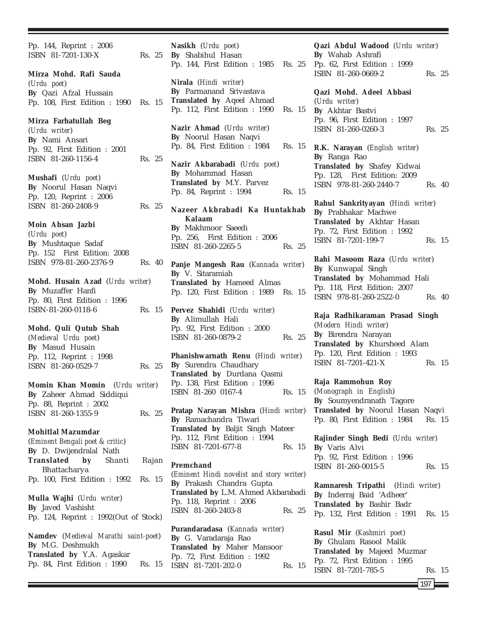Pp. 144, Reprint : 2006 ISBN 81-7201-130-X Rs. 25 **Mirza Mohd. Rafi Sauda** (*Urdu poet*) **By** Qazi Afzal Hussain Pp. 108, First Edition : 1990 Rs. 15 **Mirza Farhatullah Beg** (*Urdu writer*) **By** Nami Ansari Pp. 92, First Edition : 2001 ISBN 81-260-1156-4 Rs. 25 **Mushafi** (*Urdu poet*) **By** Noorul Hasan Naqvi Pp. 120, Reprint : 2006 ISBN 81-260-2408-9 Rs. 25 **Moin Ahsan Jazbi** (*Urdu poet*) **By** Mushtaque Sadaf Pp. 152 First Edition: 2008 ISBN 978-81-260-2376-9 Rs. 40 **Mohd. Husain Azad** (*Urdu writer*) **By** Muzaffer Hanfi Pp. 80, First Edition : 1996 ISBN-81-260-0118-6 Rs. 15 **Mohd. Quli Qutub Shah** (*Medieval Urdu poet*) **By** Masud Husain Pp. 112, Reprint : 1998 ISBN 81-260-0529-7 Rs. 25 **Momin Khan Momin** (*Urdu writer*) **By** Zaheer Ahmad Siddiqui Pp. 88, Reprint : 2002 ISBN 81-260-1355-9 Rs. 25 **Mohitlal Mazumdar** (*Eminent Bengali poet & critic*) **By** D. Dwijendralal Nath **Translated by** Shanti Rajan Bhattacharya Pp. 100, First Edition : 1992 Rs. 15 **Mulla Wajhi** (*Urdu writer*) **By** Javed Vashisht Pp. 124, Reprint : 1992(Out of Stock) **Namdev** (*Medieval Marathi saint-poet*) **By** M.G. Deshmukh **Translated by** Y.A. Agaskar Pp. 84, First Edition : 1990 Rs. 15 **Nasikh** (*Urdu poet*)

**By** Shabihul Hasan Pp. 144, First Edition : 1985 Rs. 25 **Nirala** (*Hindi writer*) **By** Parmanand Srivastava **Translated by** Aqeel Ahmad Pp. 112, First Edition : 1990 Rs. 15 **Nazir Ahmad** (*Urdu writer*) **By** Noorul Hasan Naqvi Pp. 84, First Edition : 1984 Rs. 15 **Nazir Akbarabadi** (*Urdu poet*) **By** Mohammad Hasan **Translated by** M.Y. Parvez Pp. 84, Reprint : 1994 Rs. 15 **Nazeer Akbrabadi Ka Huntakhab Kalaam By** Makhmoor Saeedi Pp. 256, First Edition : 2006 ISBN 81-260-2265-5 Rs. 25 **Panje Mangesh Rau** (*Kannada writer*) **By** V. Sitaramiah **Translated by** Hameed Almas Pp. 120, First Edition : 1989 Rs. 15 **Pervez Shahidi** (*Urdu writer*) **By** Alimullah Hali Pp. 92, First Edition : 2000 ISBN 81-260-0879-2 Rs. 25 **Phanishwarnath Renu** (*Hindi writer*) **By** Surendra Chaudhary **Translated by** Durdana Qasmi Pp. 138, First Edition : 1996 ISBN 81-260 0167-4 Rs. 15 **Pratap Narayan Mishra** (*Hindi writer*) **By** Ramachandra Tiwari **Translated by** Baljit Singh Mateer Pp. 112, First Edition : 1994 ISBN 81-7201-677-8 Rs. 15 **Premchand** (*Eminent Hindi novelist and story writer*) **By** Prakash Chandra Gupta **Translated by** L.M. Ahmed Akbarabadi Pp. 118, Reprint : 2006 ISBN 81-260-2403-8 Rs. 25 **Purandaradasa** (*Kannada writer*) **By** G. Varadaraja Rao **Translated by** Maher Mansoor Pp. 72, First Edition : 1992 ISBN 81-7201-202-0 Rs. 15

**Qazi Abdul Wadood** (*Urdu writer*) **By** Wahab Ashrafi Pp. 62, First Edition : 1999 ISBN 81-260-0669-2 Rs. 25 **Qazi Mohd. Adeel Abbasi** (*Urdu writer*) **By** Akhtar Bastvi Pp. 96, First Edition : 1997 ISBN 81-260-0260-3 Rs. 25 **R.K. Narayan** (*English writer*) **By** Ranga Rao **Translated by** Shafey Kidwai Pp. 128, First Edition: 2009 ISBN 978-81-260-2440-7 Rs. 40 **Rahul Sankrityayan** (*Hindi writer*) **By** Prabhakar Machwe **Translated by** Akhtar Hasan Pp. 72, First Edition : 1992 ISBN 81-7201-199-7 Rs. 15 **Rahi Masoom Raza** (*Urdu writer*) **By** Kunwapal Singh **Translated by** Mohammad Hali Pp. 118, First Edition: 2007 ISBN 978-81-260-2522-0 Rs. 40 **Raja Radhikaraman Prasad Singh** (*Modern Hindi writer*) **By** Birendra Narayan

**Translated by** Khursheed Alam Pp. 120, First Edition : 1993 ISBN 81-7201-421-X Rs. 15

**Raja Rammohun Roy** (*Monograph in English*) **By** Soumyendranath Tagore **Translated by** Noorul Hasan Naqvi Pp. 80, First Edition : 1984 Rs. 15

**Rajinder Singh Bedi** (*Urdu writer*) **By** Varis Alvi Pp. 92, First Edition : 1996 ISBN 81-260-0015-5 Rs. 15

**Ramnaresh Tripathi** (*Hindi writer*) **By** Inderraj Baid 'Adheer' **Translated by** Bashir Badr Pp. 132, First Edition : 1991 Rs. 15

**Rasul Mir** (*Kashmiri poet*) **By** Ghulam Rasool Malik **Translated by** Majeed Muzmar Pp. 72, First Edition : 1995 ISBN 81-7201-785-5 Rs. 15

 $197 \,$   $\blacksquare$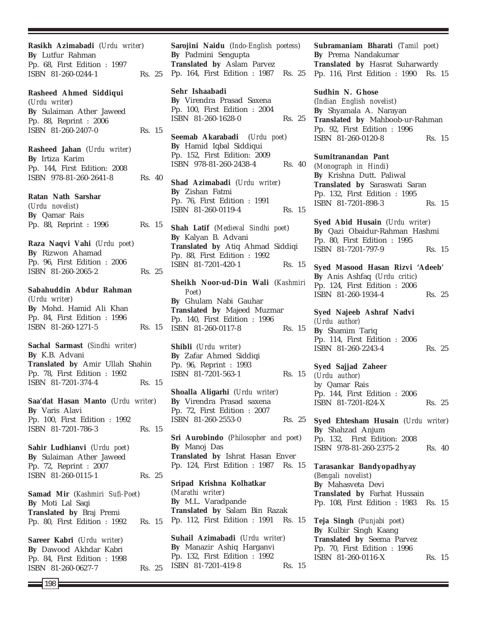**Rasikh Azimabadi** (*Urdu writer*) **By** Lutfur Rahman Pp. 68, First Edition : 1997 ISBN 81-260-0244-1 Rs. 25 **Rasheed Ahmed Siddiqui** (*Urdu writer*) **By** Sulaiman Ather Jaweed Pp. 88, Reprint : 2006 ISBN 81-260-2407-0 Rs. 15 **Rasheed Jahan** (*Urdu writer*) **By** Irtiza Karim Pp. 144, First Edition: 2008 ISBN 978-81-260-2641-8 Rs. 40 **Ratan Nath Sarshar** (*Urdu novelist*) **By** Qamar Rais Pp. 88, Reprint : 1996 Rs. 15 **Raza Naqvi Vahi** (*Urdu poet*) **By** Rizwon Ahamad Pp. 96, First Edition : 2006 ISBN 81-260-2065-2 Rs. 25 **Sabahuddin Abdur Rahman** (*Urdu writer*) **By** Mohd. Hamid Ali Khan Pp. 84, First Edition : 1996 ISBN 81-260-1271-5 Rs. 15 **Sachal Sarmast** (*Sindhi writer*) **By** K.B. Advani **Translated by** Amir Ullah Shahin Pp. 78, First Edition : 1992 ISBN 81-7201-374-4 Rs. 15 **Saa'dat Hasan Manto** (*Urdu writer*) **By** Varis Alavi Pp. 100, First Edition : 1992 ISBN 81-7201-786-3 Rs. 15 **Sahir Ludhianvi** (*Urdu poet*) **By** Sulaiman Ather Jaweed Pp. 72, Reprint : 2007 ISBN 81-260-0115-1 Rs. 25 **Samad Mir** (*Kashmiri Sufi-Poet*) **By** Moti Lal Saqi **Translated by** Braj Premi Pp. 80, First Edition : 1992 Rs. 15 **Sareer Kabri** (*Urdu writer*) **By** Dawood Akhdar Kabri Pp. 84, First Edition : 1998 ISBN 81-260-0627-7 Rs. 25

**Sarojini Naidu** (*Indo-English poetess*) **By** Padmini Sengupta **Translated by** Aslam Parvez Pp. 164, First Edition : 1987 Rs. 25

**Sehr Ishaabadi By** Virendra Prasad Saxena Pp. 100, First Edition : 2004 ISBN 81-260-1628-0 Rs. 25

**Seemab Akarabadi** (*Urdu poet*) **By** Hamid Iqbal Siddiqui Pp. 152, First Edition: 2009 ISBN 978-81-260-2438-4 Rs. 40

**Shad Azimabadi** (*Urdu writer*) **By** Zishan Fatmi Pp. 76, First Edition : 1991 ISBN 81-260-0119-4 Rs. 15

**Shah Latif** (*Medieval Sindhi poet*) **By** Kalyan B. Advani **Translated by** Atiq Ahmad Siddiqi Pp. 88, First Edition : 1992 ISBN 81-7201-420-1 Rs. 15

**Sheikh Noor-ud-Din Wali** (*Kashmiri Poet*) **By** Ghulam Nabi Gauhar **Translated by** Majeed Muzmar Pp. 140, First Edition : 1996 ISBN 81-260-0117-8 Rs. 15

**Shibli** (*Urdu writer*) **By** Zafar Ahmed Siddiqi Pp. 96, Reprint : 1993 ISBN 81-7201-563-1 Rs. 15

**Shoalla Aligarhi** (*Urdu writer*) **By** Virendra Prasad saxena Pp. 72, First Edition : 2007 ISBN 81-260-2553-0 Rs. 25

**Sri Aurobindo** (*Philosopher and poet*) **By** Manoj Das **Translated by** Ishrat Hasan Enver Pp. 124, First Edition : 1987 Rs. 15

**Sripad Krishna Kolhatkar** (*Marathi writer*) **By** M.L. Varadpande **Translated by** Salam Bin Razak Pp. 112, First Edition : 1991 Rs. 15

**Suhail Azimabadi** (*Urdu writer*) **By** Manazir Ashiq Harganvi Pp. 132, First Edition : 1992 ISBN 81-7201-419-8 Rs. 15 **Subramaniam Bharati** (*Tamil poet*) **By** Prema Nandakumar **Translated by** Hasrat Suharwardy Pp. 116, First Edition : 1990 Rs. 15

**Sudhin N. Ghose** (*Indian English novelist*) **By** Shyamala A. Narayan **Translated by** Mahboob-ur-Rahman Pp. 92, First Edition : 1996 ISBN 81-260-0120-8 Rs. 15

**Sumitranandan Pant** (*Monograph in Hindi*) **By** Krishna Dutt. Paliwal **Translated by** Saraswati Saran Pp. 132, First Edition : 1995 ISBN 81-7201-898-3 Rs. 15

**Syed Abid Husain** (*Urdu writer*) **By** Qazi Obaidur-Rahman Hashmi Pp. 80, First Edition : 1995 ISBN 81-7201-797-9 Rs. 15

**Syed Masood Hasan Rizvi 'Adeeb' By** Anis Ashfaq (*Urdu critic*) Pp. 124, First Edition : 2006 ISBN 81-260-1934-4 Rs. 25

**Syed Najeeb Ashraf Nadvi** *(Urdu author)* **By** Shamim Tariq Pp. 114, First Edition : 2006 ISBN 81-260-2243-4 Rs. 25

**Syed Sajjad Zaheer** *(Urdu author)* by Qamar Rais Pp. 144, First Edition : 2006 ISBN 81-7201-824-X Rs. 25

**Syed Ehtesham Husain** (*Urdu writer*) **By** Shahzad Anjum Pp. 132, First Edition: 2008 ISBN 978-81-260-2375-2 Rs. 40

**Tarasankar Bandyopadhyay** (*Bengali novelist*) **By** Mahasveta Devi **Translated by** Farhat Hussain Pp. 108, First Edition : 1983 Rs. 15

**Teja Singh** (*Punjabi poet*) **By** Kulbir Singh Kaang **Translated by** Seema Parvez Pp. 70, First Edition : 1996 ISBN 81-260-0116-X Rs. 15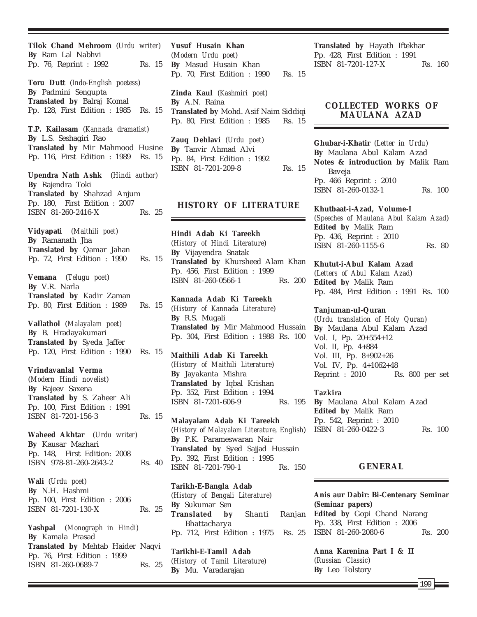**Tilok Chand Mehroom** (*Urdu writer*) **By** Ram Lal Nabhvi Pp. 76, Reprint : 1992 Rs. 15 **Toru Dutt** (*Indo-English poetess*) **By** Padmini Sengupta **Translated by** Balraj Komal Pp. 128, First Edition : 1985 Rs. 15 **T.P. Kailasam** (*Kannada dramatist*) **By** L.S. Seshagiri Rao **Translated by** Mir Mahmood Husine Pp. 116, First Edition : 1989 Rs. 15 **Upendra Nath Ashk** (*Hindi author*) **By** Rajendra Toki **Translated by** Shahzad Anjum Pp. 180, First Edition : 2007 ISBN 81-260-2416-X Rs. 25 **Vidyapati** (*Maithili poet*) **By** Ramanath Jha **Translated by** Qamar Jahan Pp. 72, First Edition : 1990 Rs. 15 **Vemana** (*Telugu poet*) **By** V.R. Narla **Translated by** Kadir Zaman Pp. 80, First Edition : 1989 Rs. 15 **Vallathol** (*Malayalam poet*) **By** B. Hradayakumari **Translated by** Syeda Jaffer Pp. 120, First Edition : 1990 Rs. 15 **Vrindavanlal Verma** (*Modern Hindi novelist*) **By** Rajeev Saxena **Translated by** S. Zaheer Ali Pp. 100, First Edition : 1991 ISBN 81-7201-156-3 Rs. 15 **Waheed Akhtar** (*Urdu writer*) **By** Kausar Mazhari Pp. 148, First Edition: 2008 ISBN 978-81-260-2643-2 Rs. 40 **Wali** (*Urdu poet*) **By** N.H. Hashmi Pp. 100, First Edition : 2006 ISBN 81-7201-130-X Rs. 25 **Yashpal** (*Monograph in Hindi*) **By** Kamala Prasad **Translated by** Mehtab Haider Naqvi Pp. 76, First Edition : 1999 ISBN 81-260-0689-7 Rs. 25

**Yusuf Husain Khan** (*Modern Urdu poet*) **By** Masud Husain Khan Pp. 70, First Edition : 1990 Rs. 15 **Zinda Kaul** (*Kashmiri poet*) **By** A.N. Raina

**Translated by** Mohd. Asif Naim Siddiqi Pp. 80, First Edition : 1985 Rs. 15

**Zauq Dehlavi** (*Urdu poet*) **By** Tanvir Ahmad Alvi Pp. 84, First Edition : 1992 ISBN 81-7201-209-8 Rs. 15

# **HISTORY OF LITERATURE**

**Hindi Adab Ki Tareekh** (*History of Hindi Literature*) **By** Vijayendra Snatak **Translated by** Khursheed Alam Khan Pp. 456, First Edition : 1999 ISBN 81-260-0566-1 Rs. 200

**Kannada Adab Ki Tareekh** (*History of Kannada Literature*) **By** R.S. Mugali **Translated by** Mir Mahmood Hussain Pp. 304, First Edition : 1988 Rs. 100

**Maithili Adab Ki Tareekh** (*History of Maithili Literature*) **By** Jayakanta Mishra **Translated by** Iqbal Krishan Pp. 352, First Edition : 1994 ISBN 81-7201-606-9 Rs. 195

**Malayalam Adab Ki Tareekh** (*History of Malayalam Literature, English*) **By** P.K. Parameswaran Nair **Translated by** Syed Sajjad Hussain Pp. 392, First Edition : 1995 ISBN 81-7201-790-1 Rs. 150

**Tarikh-E-Bangla Adab** (*History of Bengali Literature*) **By** Sukumar Sen **Translated by** Shanti Ranjan Bhattacharya Pp. 712, First Edition : 1975 Rs. 25

**Tarikhi-E-Tamil Adab** (*History of Tamil Literature*) **By** Mu. Varadarajan

**Translated by** Hayath Iftekhar Pp. 428, First Edition : 1991 ISBN 81-7201-127-X Rs. 160

# **COLLECTED WORKS OF MAULANA AZAD**

**Ghubar-i-Khatir** (*Letter in Urdu*) **By** Maulana Abul Kalam Azad **Notes & introduction by** Malik Ram Baveja Pp. 466 Reprint : 2010 ISBN 81-260-0132-1 Rs. 100

**Khutbaat-i-Azad, Volume-I** (*Speeches of Maulana Abul Kalam Azad*) **Edited by** Malik Ram Pp. 436, Reprint : 2010 ISBN 81-260-1155-6 Rs. 80

**Khutut-i-Abul Kalam Azad** (*Letters of Abul Kalam Azad*) **Edited by** Malik Ram Pp. 484, First Edition : 1991 Rs. 100

**Tanjuman-ul-Quran** (*Urdu translation of Holy Quran*) **By** Maulana Abul Kalam Azad Vol. I, Pp. 20+554+12 Vol. II, Pp. 4+884 Vol. III, Pp. 8+902+26 Vol. IV, Pp. 4+1062+48 Reprint : 2010 Rs. 800 per set

## **Tazkira**

**By** Maulana Abul Kalam Azad **Edited by** Malik Ram Pp. 542, Reprint : 2010 ISBN 81-260-0422-3 Rs. 100

# **GENERAL**

**Anis aur Dabir: Bi-Centenary Seminar** *(Seminar papers)* **Edited by** Gopi Chand Narang Pp. 338, First Edition : 2006 ISBN 81-260-2080-6 Rs. 200

**Anna Karenina Part I & II** (*Russian Classic*) **By** Leo Tolstory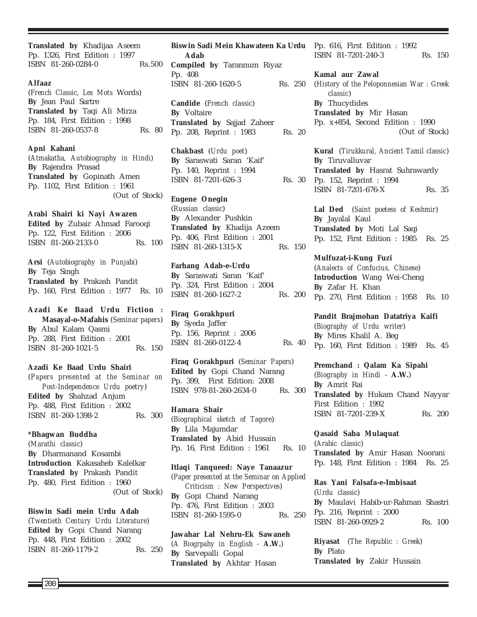**Translated by** Khadijaa Aseem Pp. 1326, First Edition : 1997 ISBN 81-260-0284-0 Rs.500

#### **Alfaaz**

(*French Classic, Les Mots* Words) **By** Jean Paul Sartre **Translated by** Taqi Ali Mirza Pp. 184, First Edition : 1998 ISBN 81-260-0537-8 Rs. 80

**Apni Kahani** (*Atmakatha, Autobiography in Hindi*) **By** Rajendra Prasad **Translated by** Gopinath Amen Pp. 1102, First Edition : 1961 (Out of Stock)

**Arabi Shairi ki Nayi Awazen Edited by** Zubair Ahmad Farooqi Pp. 122, First Edition : 2006 ISBN 81-260-2133-0 Rs. 100

**Arsi** (*Autobiography in Punjabi*) **By** Teja Singh **Translated by** Prakash Pandit Pp. 160, First Edition : 1977 Rs. 10

**Azadi Ke Baad Urdu Fiction : Masayal-o-Mafahis** (*Seminar papers*) **By** Abul Kalam Qasmi Pp. 288, First Edition : 2001 ISBN 81-260-1021-5 Rs. 150

**Azadi Ke Baad Urdu Shairi** (*Papers presented at the Seminar on Post-Independence Urdu poetry*) **Edited by** Shahzad Anjum Pp. 488, First Edition : 2002 ISBN 81-260-1398-2 Rs. 300

**\*Bhagwan Buddha** (*Marathi classic*) **By** Dharmanand Kosambi **Introduction** Kakasaheb Kalelkar **Translated by** Prakash Pandit Pp. 480, First Edition : 1960 (Out of Stock)

**Biswin Sadi mein Urdu Adab** (*Twentieth Century Urdu Literature*) **Edited by** Gopi Chand Narang Pp. 448, First Edition : 2002 ISBN 81-260-1179-2 Rs. 250

**Biswin Sadi Mein Khawateen Ka Urdu** Pp. 616, First Edition : 1992 **Adab Compiled by** Tarannum Riyaz Pp. 408 ISBN 81-260-1620-5 Rs. 250 **Candide** (*French classic*)

**By** Voltaire **Translated by** Sajjad Zaheer Pp. 208, Reprint : 1983 Rs. 20

**Chakbast** (*Urdu poet*) **By** Saraswati Saran 'Kaif' Pp. 140, Reprint : 1994 ISBN 81-7201-626-3 Rs. 30

**Eugene Onegin** (*Russian classic*) **By** Alexander Pushkin **Translated by** Khadija Azeem Pp. 406, First Edition : 2001 ISBN 81-260-1315-X Rs. 150

**Farhang Adab-e-Urdu By** Saraswati Saran 'Kaif' Pp. 324, First Edition : 2004 ISBN 81-260-1627-2 Rs. 200

**Firaq Gorakhpuri By** Syeda Jaffer Pp. 156, Reprint : 2006 ISBN 81-260-0122-4 Rs. 40

**Firaq Gorakhpuri** (*Seminar Papers*) **Edited by** Gopi Chand Narang Pp. 399, First Edition: 2008 ISBN 978-81-260-2634-0 Rs. 300

**Hamara Shair** (*Biographical sketch of Tagore*) **By** Lila Majumdar **Translated by** Abid Hussain Pp. 16, First Edition : 1961 Rs. 10

**Itlaqi Tanqueed: Naye Tanaazur** (*Paper presented at the Seminar on Applied Criticism : New Perspectives*) **By** Gopi Chand Narang Pp. 476, First Edition : 2003 ISBN 81-260-1595-0 Rs. 250

**Jawahar Lal Nehru-Ek Sawaneh** (*A Biogrpahy in English -* **A.W.**) **By** Sarvepalli Gopal **Translated by** Akhtar Hasan

ISBN 81-7201-240-3 Rs. 150

**Kamal aur Zawal** (*History of the Peloponnesian War : Greek classic*) **By** Thucydides **Translated by** Mir Hasan Pp. x+854, Second Edition : 1990 (Out of Stock)

**Kural** (*Tirukkural, Ancient Tamil classic*) **By** Tiruvalluvar **Translated by** Hasrat Suhrawardy Pp. 152, Reprint : 1994 ISBN 81-7201-676-X Rs. 35

**Lal Ded** (*Saint poetess of Keshmir*) **By** Jayalal Kaul **Translated by** Moti Lal Saqi Pp. 152, First Edition : 1985 Rs. 25

**Mulfuzat-i-Kung Fuzi** (*Analects of Confucius, Chinese*) **Introduction** Wang Wei-Cheng **By** Zafar H. Khan Pp. 270, First Edition : 1958 Rs. 10

**Pandit Brajmohan Datatriya Kaifi** (*Biography of Urdu writer*) **By** Mires Khalil A. Beg Pp. 160, First Edition : 1989 Rs. 45

**Premchand : Qalam Ka Sipahi** (*Biography in Hindi* - **A.W.**) **By** Amrit Rai **Translated by** Hukam Chand Nayyar First Edition : 1992 ISBN 81-7201-239-X Rs. 200

**Qasaid Saba Mulaquat** (*Arabic classic*) **Translated by** Amir Hasan Noorani Pp. 148, First Edition : 1984 Rs. 25

**Ras Yani Falsafa-e-Imbisaat** (*Urdu classic*) **By** Maulavi Habib-ur-Rahman Shastri Pp. 216, Reprint : 2000 ISBN 81-260-0929-2 Rs. 100

**Riyasat** (*The Republic : Greek*) **By** Plato **Translated by** Zakir Hussain